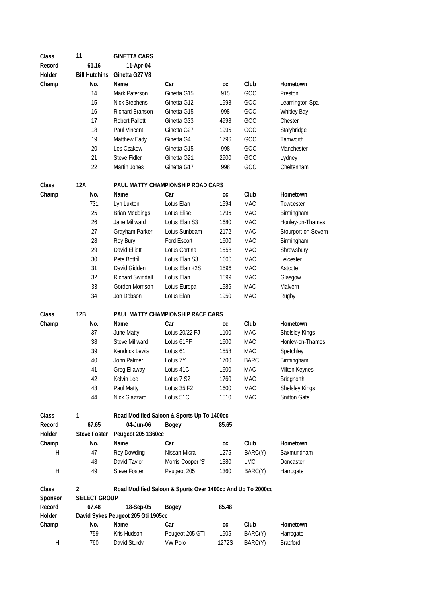| Class                     | 11                   | <b>GINETTA CARS</b>                |                                                            |            |             |                     |
|---------------------------|----------------------|------------------------------------|------------------------------------------------------------|------------|-------------|---------------------|
| Record                    | 61.16                | 11-Apr-04                          |                                                            |            |             |                     |
| Holder                    | <b>Bill Hutchins</b> | Ginetta G27 V8                     |                                                            |            |             |                     |
| Champ                     | No.                  | Name                               | Car                                                        | cc         | Club        | Hometown            |
|                           | 14                   | Mark Paterson                      | Ginetta G15                                                | 915        | GOC         | Preston             |
|                           | 15                   | <b>Nick Stephens</b>               | Ginetta G12                                                | 1998       | GOC         | Leamington Spa      |
|                           | 16                   | Richard Branson                    | Ginetta G15                                                | 998        | GOC         | <b>Whitley Bay</b>  |
|                           | 17                   | Robert Pallett                     | Ginetta G33                                                | 4998       | GOC         | Chester             |
|                           | 18                   | Paul Vincent                       | Ginetta G27                                                | 1995       | GOC         | Stalybridge         |
|                           | 19                   | Matthew Eady                       | Ginetta G4                                                 | 1796       | GOC         | Tamworth            |
|                           | 20                   | Les Czakow                         | Ginetta G15                                                | 998        | GOC         | Manchester          |
|                           | 21                   | <b>Steve Fidler</b>                | Ginetta G21                                                | 2900       | GOC         | Lydney              |
|                           | 22                   | Martin Jones                       | Ginetta G17                                                | 998        | GOC         | Cheltenham          |
|                           |                      |                                    |                                                            |            |             |                     |
| Class                     | 12A                  |                                    | PAUL MATTY CHAMPIONSHIP ROAD CARS                          |            |             |                     |
| Champ                     | No.                  | Name                               | Car                                                        | СC         | Club        | Hometown            |
|                           | 731                  | Lyn Luxton                         | Lotus Elan                                                 | 1594       | <b>MAC</b>  | Towcester           |
|                           | 25                   | <b>Brian Meddings</b>              | Lotus Elise                                                | 1796       | <b>MAC</b>  | Birmingham          |
|                           | 26                   | Jane Millward                      | Lotus Elan S3                                              | 1680       | <b>MAC</b>  | Honley-on-Thames    |
|                           | 27                   | Grayham Parker                     | Lotus Sunbeam                                              | 2172       | <b>MAC</b>  | Stourport-on-Severn |
|                           | 28                   | Roy Bury                           | Ford Escort                                                | 1600       | MAC         | Birmingham          |
|                           | 29                   | David Elliott                      | Lotus Cortina                                              | 1558       | MAC         | Shrewsbury          |
|                           | 30                   | Pete Bottrill                      | Lotus Elan S3                                              | 1600       | <b>MAC</b>  | Leicester           |
|                           | 31                   | David Gidden                       | Lotus Elan +2S                                             | 1596       | <b>MAC</b>  | Astcote             |
|                           | 32                   | Richard Swindall                   | Lotus Elan                                                 | 1599       | <b>MAC</b>  | Glasgow             |
|                           | 33                   | Gordon Morrison                    | Lotus Europa                                               | 1586       | <b>MAC</b>  | Malvern             |
|                           | 34                   | Jon Dobson                         | Lotus Elan                                                 | 1950       | <b>MAC</b>  | Rugby               |
| Class                     | 12B                  |                                    | PAUL MATTY CHAMPIONSHIP RACE CARS                          |            |             |                     |
| Champ                     | No.                  | Name                               | Car                                                        | cc         | Club        | Hometown            |
|                           | 37                   | June Matty                         | Lotus 20/22 FJ                                             | 1100       | MAC         | Shelsley Kings      |
|                           | 38                   | Steve Millward                     | Lotus 61FF                                                 | 1600       | <b>MAC</b>  | Honley-on-Thames    |
|                           | 39                   | <b>Kendrick Lewis</b>              | Lotus 61                                                   | 1558       | <b>MAC</b>  | Spetchley           |
|                           | 40                   | John Palmer                        | Lotus 7Y                                                   | 1700       | <b>BARC</b> | Birmingham          |
|                           | 41                   | Greg Ellaway                       | Lotus 41C                                                  | 1600       | <b>MAC</b>  | Milton Keynes       |
|                           | 42                   | Kelvin Lee                         | Lotus 7 S2                                                 | 1760       | MAC         | Bridgnorth          |
|                           | 43                   | Paul Matty                         | Lotus 35 F2                                                | 1600       | MAC         | Shelsley Kings      |
|                           | 44                   | Nick Glazzard                      | Lotus 51C                                                  | 1510       | <b>MAC</b>  | Snitton Gate        |
| Class                     | 1                    |                                    | Road Modified Saloon & Sports Up To 1400cc                 |            |             |                     |
| Record                    | 67.65                | 04-Jun-06                          | <b>Bogey</b>                                               | 85.65      |             |                     |
| Holder                    | <b>Steve Foster</b>  | Peugeot 205 1360cc                 |                                                            |            |             |                     |
| Champ                     | No.                  | Name                               | Car                                                        | СC         | Club        | Hometown            |
| Η                         | 47                   | Roy Dowding                        | Nissan Micra                                               | 1275       | BARC(Y)     | Saxmundham          |
|                           | 48                   | David Taylor                       | Morris Cooper 'S'                                          | 1380       | LMC         | Doncaster           |
| $\boldsymbol{\mathsf{H}}$ | 49                   | Steve Foster                       | Peugeot 205                                                | 1360       | BARC(Y)     | Harrogate           |
|                           |                      |                                    |                                                            |            |             |                     |
| Class                     | $\overline{2}$       |                                    | Road Modified Saloon & Sports Over 1400cc And Up To 2000cc |            |             |                     |
| Sponsor                   | <b>SELECT GROUP</b>  |                                    |                                                            |            |             |                     |
| Record                    | 67.48                | 18-Sep-05                          | <b>Bogey</b>                                               | 85.48      |             |                     |
| Holder                    |                      | David Sykes Peugeot 205 Gti 1905cc |                                                            |            |             |                     |
| Champ                     | No.                  | Name                               | Car                                                        | ${\tt CC}$ | Club        | Hometown            |
|                           | 759                  | Kris Hudson                        | Peugeot 205 GTi                                            | 1905       | BARC(Y)     | Harrogate           |
| Н                         | 760                  | David Sturdy                       | <b>VW Polo</b>                                             | 1272S      | BARC(Y)     | <b>Bradford</b>     |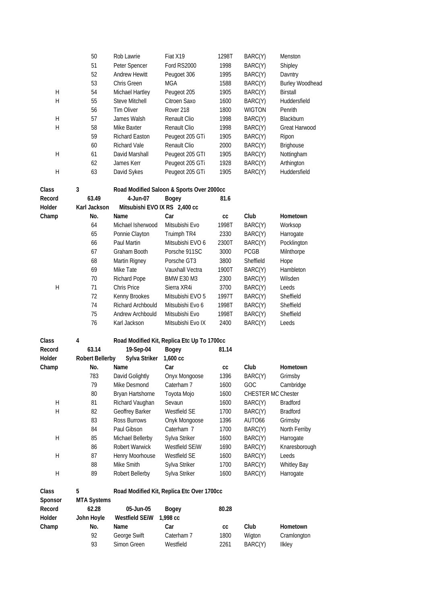|             | 50                     | Rob Lawrie                         | Fiat X19                                    | 1298T | BARC(Y)                   | Menston                |
|-------------|------------------------|------------------------------------|---------------------------------------------|-------|---------------------------|------------------------|
|             | 51                     | Peter Spencer                      | Ford RS2000                                 | 1998  | BARC(Y)                   | Shipley                |
|             | 52                     | <b>Andrew Hewitt</b>               | Peugoet 306                                 | 1995  | BARC(Y)                   | Davntry                |
|             | 53                     | Chris Green                        | <b>MGA</b>                                  | 1588  | BARC(Y)                   | <b>Burley Woodhead</b> |
| H           | 54                     | Michael Hartley                    | Peugeot 205                                 | 1905  | BARC(Y)                   | <b>Birstall</b>        |
| H           | 55                     | Steve Mitchell                     | Citroen Saxo                                | 1600  | BARC(Y)                   | Huddersfield           |
|             | 56                     | <b>Tim Oliver</b>                  | Rover 218                                   | 1800  | <b>WIGTON</b>             | Penrith                |
| Η           | 57                     | James Walsh                        | Renault Clio                                | 1998  | BARC(Y)                   | Blackburn              |
| Н           | 58                     | Mike Baxter                        | Renault Clio                                | 1998  | BARC(Y)                   | Great Harwood          |
|             | 59                     | <b>Richard Easton</b>              | Peugeot 205 GTi                             | 1905  | BARC(Y)                   | Ripon                  |
|             | 60                     | <b>Richard Vale</b>                | Renault Clio                                | 2000  | BARC(Y)                   | Brighouse              |
| H           | 61                     | David Marshall                     | Peugeot 205 GTI                             | 1905  | BARC(Y)                   | Nottingham             |
|             | 62                     | James Kerr                         | Peugeot 205 GTi                             | 1928  | BARC(Y)                   | Arthington             |
| H           | 63                     | David Sykes                        | Peugeot 205 GTi                             | 1905  | BARC(Y)                   | Huddersfield           |
|             |                        |                                    |                                             |       |                           |                        |
| Class       | 3                      |                                    | Road Modified Saloon & Sports Over 2000cc   |       |                           |                        |
| Record      | 63.49                  | 4-Jun-07                           | <b>Bogey</b>                                | 81.6  |                           |                        |
| Holder      | Karl Jackson           | Mitsubishi EVO IX RS 2,400 cc      |                                             |       |                           |                        |
| Champ       | No.                    | Name                               | Car                                         | cc    | Club                      | Hometown               |
|             | 64                     | Michael Isherwood                  | Mitsubishi Evo                              | 1998T | BARC(Y)                   | Worksop                |
|             | 65                     | Ponnie Clayton                     | Truimph TR4                                 | 2330  | BARC(Y)                   | Harrogate              |
|             | 66                     | Paul Martin                        | Mitsubishi EVO 6                            | 2300T | BARC(Y)                   | Pocklington            |
|             | 67                     | Graham Booth                       | Porsche 911SC                               | 3000  | <b>PCGB</b>               | Milnthorpe             |
|             | 68                     | Martin Rigney                      | Porsche GT3                                 | 3800  | Sheffield                 | Hope                   |
|             | 69                     | Mike Tate                          | Vauxhall Vectra                             | 1900T | BARC(Y)                   | Hambleton              |
|             | 70                     |                                    | <b>BMW E30 M3</b>                           | 2300  |                           | Wilsden                |
| Н           | 71                     | <b>Richard Pope</b><br>Chris Price | Sierra XR4i                                 | 3700  | BARC(Y)                   | Leeds                  |
|             |                        |                                    |                                             |       | BARC(Y)                   |                        |
|             | 72                     | Kenny Brookes                      | Mitsubishi EVO 5                            | 1997T | BARC(Y)                   | Sheffield              |
|             | 74                     | Richard Archbould                  | Mitsubishi Evo 6                            | 1998T | BARC(Y)                   | Sheffield              |
|             | 75                     | Andrew Archbould                   | Mitsubishi Evo                              | 1998T | BARC(Y)                   | Sheffield              |
|             | 76                     | Karl Jackson                       | Mitsubishi Evo IX                           | 2400  | BARC(Y)                   | Leeds                  |
| Class       | 4                      |                                    | Road Modified Kit, Replica Etc Up To 1700cc |       |                           |                        |
| Record      | 63.14                  | 19-Sep-04                          | <b>Bogey</b>                                | 81.14 |                           |                        |
| Holder      | <b>Robert Bellerby</b> | Sylva Striker                      | $1,600$ $cc$                                |       |                           |                        |
| Champ       | No.                    | Name                               | Car                                         | cc    | Club                      | Hometown               |
|             | 783                    | David Golightly                    | Onyx Mongoose                               | 1396  | BARC(Y)                   | Grimsby                |
|             | 79                     | Mike Desmond                       | Caterham 7                                  | 1600  | GOC                       | Cambridge              |
|             | 80                     | Bryan Hartshorne                   | Toyota Mojo                                 | 1600  | <b>CHESTER MC Chester</b> |                        |
| Н           | 81                     | Richard Vaughan                    | Sevaun                                      | 1600  | BARC(Y)                   | <b>Bradford</b>        |
| Н           | 82                     | Geoffrey Barker                    | Westfield SE                                | 1700  | BARC(Y)                   | <b>Bradford</b>        |
|             | 83                     | Ross Burrows                       | Onyk Mongoose                               | 1396  | AUTO66                    | Grimsby                |
|             | 84                     | Paul Gibson                        | Caterham 7                                  | 1700  | BARC(Y)                   | North Ferriby          |
| Н           | 85                     | Michael Bellerby                   | Sylva Striker                               | 1600  | BARC(Y)                   | Harrogate              |
|             | 86                     | Robert Warwick                     | Westfield SEiW                              | 1690  | BARC(Y)                   | Knaresborough          |
| H           | 87                     | Henry Moorhouse                    | Westfield SE                                | 1600  | BARC(Y)                   | Leeds                  |
|             | 88                     | Mike Smith                         | Sylva Striker                               | 1700  | BARC(Y)                   | <b>Whitley Bay</b>     |
| $\mathsf H$ | 89                     | Robert Bellerby                    | Sylva Striker                               | 1600  | BARC(Y)                   | Harrogate              |
|             |                        |                                    |                                             |       |                           |                        |
| Class       | 5                      |                                    | Road Modified Kit, Replica Etc Over 1700cc  |       |                           |                        |
| Sponsor     | <b>MTA Systems</b>     |                                    |                                             |       |                           |                        |
| Record      | 62.28                  | 05-Jun-05                          | <b>Bogey</b>                                | 80.28 |                           |                        |
| Holder      | John Hoyle             | <b>Westfield SEiW</b>              | 1,998 cc                                    |       |                           |                        |
| Champ       | No.                    | Name                               | Car                                         | cc    | Club                      | Hometown               |
|             | 92                     | George Swift                       | Caterham 7                                  | 1800  | Wigton                    | Cramlongton            |
|             | 93                     | Simon Green                        | Westfield                                   | 2261  | BARC(Y)                   | Ilkley                 |
|             |                        |                                    |                                             |       |                           |                        |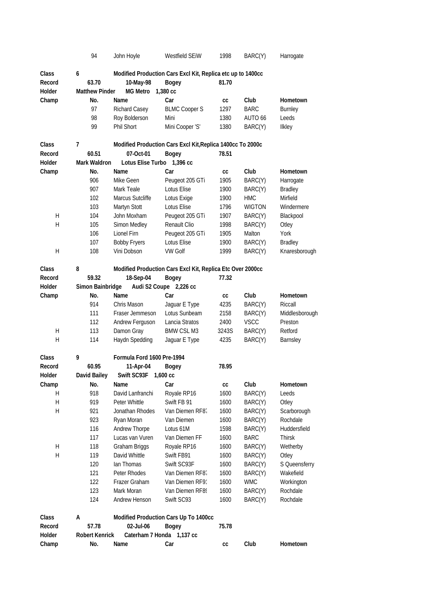|         | 94                    | John Hoyle                 | <b>Westfield SEIW</b>                                       | 1998  | BARC(Y)       | Harrogate      |
|---------|-----------------------|----------------------------|-------------------------------------------------------------|-------|---------------|----------------|
| Class   | 6                     |                            | Modified Production Cars Excl Kit, Replica etc up to 1400cc |       |               |                |
| Record  | 63.70                 | 10-May-98                  | <b>Bogey</b>                                                | 81.70 |               |                |
| Holder  | <b>Matthew Pinder</b> | <b>MG Metro</b>            | 1,380 cc                                                    |       |               |                |
| Champ   | No.                   | Name                       | Car                                                         | СC    | Club          | Hometown       |
|         | 97                    | Richard Casey              | <b>BLMC Cooper S</b>                                        | 1297  | <b>BARC</b>   | Burnley        |
|         | 98                    | Roy Bolderson              | Mini                                                        | 1380  | AUTO 66       | Leeds          |
|         | 99                    | Phil Short                 | Mini Cooper 'S'                                             | 1380  | BARC(Y)       | Ilkley         |
|         |                       |                            |                                                             |       |               |                |
| Class   | $\overline{7}$        |                            | Modified Production Cars Excl Kit, Replica 1400cc To 2000c  |       |               |                |
| Record  | 60.51                 | 07-Oct-01                  | <b>Bogey</b>                                                | 78.51 |               |                |
| Holder  | <b>Mark Waldron</b>   | Lotus Elise Turbo          | 1,396 cc                                                    |       |               |                |
| Champ   | No.                   | Name                       | Car                                                         | cc    | Club          | Hometown       |
|         | 906                   | Mike Geen                  | Peugeot 205 GTi                                             | 1905  | BARC(Y)       | Harrogate      |
|         | 907                   | Mark Teale                 | Lotus Elise                                                 | 1900  | BARC(Y)       | Bradley        |
|         | 102                   | Marcus Sutcliffe           | Lotus Exige                                                 | 1900  | <b>HMC</b>    | Mirfield       |
|         | 103                   | Martyn Stott               | Lotus Elise                                                 | 1796  | <b>WIGTON</b> | Windermere     |
| H       | 104                   | John Moxham                | Peugeot 205 GTi                                             | 1907  | BARC(Y)       | Blackpool      |
| H       | 105                   | Simon Medley               | Renault Clio                                                | 1998  | BARC(Y)       | Otley          |
|         | 106                   | Lionel Firn                | Peugeot 205 GTi                                             | 1905  | Malton        | York           |
|         | 107                   | <b>Bobby Fryers</b>        | Lotus Elise                                                 | 1900  | BARC(Y)       | Bradley        |
| H       | 108                   | Vini Dobson                | <b>VW Golf</b>                                              | 1999  | BARC(Y)       | Knaresborough  |
|         |                       |                            |                                                             |       |               |                |
| Class   | 8                     |                            | Modified Production Cars Excl Kit, Replica Etc Over 2000cc  |       |               |                |
| Record  | 59.32                 | 18-Sep-04                  | <b>Bogey</b>                                                | 77.32 |               |                |
| Holder  | Simon Bainbridge      |                            | Audi S2 Coupe 2,226 cc                                      |       |               |                |
| Champ   | No.                   | Name                       | Car                                                         | CC    | Club          | Hometown       |
|         | 914                   | Chris Mason                | Jaguar E Type                                               | 4235  | BARC(Y)       | Riccall        |
|         | 111                   | Fraser Jemmeson            | Lotus Sunbeam                                               | 2158  | BARC(Y)       | Middlesborough |
|         | 112                   | Andrew Ferguson            | Lancia Stratos                                              | 2400  | <b>VSCC</b>   | Preston        |
| H       | 113                   | Damon Gray                 | <b>BMW CSL M3</b>                                           | 3243S | BARC(Y)       | Retford        |
| H       | 114                   | Haydn Spedding             | Jaguar E Type                                               | 4235  | BARC(Y)       | Barnsley       |
|         |                       |                            |                                                             |       |               |                |
| Class   | 9                     | Formula Ford 1600 Pre-1994 |                                                             |       |               |                |
| Record  | 60.95                 | 11-Apr-04                  | Bogey                                                       | 78.95 |               |                |
| Holder  | David Bailey          | Swift SC93F                | $1,600 \text{ cc}$                                          |       |               |                |
| Champ   | No.                   | Name                       | Car                                                         | cc    | Club          | Hometown       |
| H       | 918                   | David Lanfranchi           | Royale RP16                                                 | 1600  | BARC(Y)       | Leeds          |
| Н       | 919                   | Peter Whittle              | Swift FB 91                                                 | 1600  | BARC(Y)       | Otley          |
| $\sf H$ | 921                   | Jonathan Rhodes            | Van Diemen RF87                                             | 1600  | BARC(Y)       | Scarborough    |
|         | 923                   | Ryan Moran                 | Van Diemen                                                  | 1600  | BARC(Y)       | Rochdale       |
|         | 116                   | Andrew Thorpe              | Lotus 61M                                                   | 1598  | BARC(Y)       | Huddersfield   |
|         | 117                   | Lucas van Vuren            | Van Diemen FF                                               | 1600  | <b>BARC</b>   | Thirsk         |
| Н       | 118                   | Graham Briggs              | Royale RP16                                                 | 1600  | BARC(Y)       | Wetherby       |
| Н       | 119                   | David Whittle              | Swift FB91                                                  | 1600  | BARC(Y)       | Otley          |
|         | 120                   | Ian Thomas                 | Swift SC93F                                                 | 1600  | BARC(Y)       | S Queensferry  |
|         | 121                   | Peter Rhodes               | Van Diemen RF87                                             | 1600  | BARC(Y)       | Wakefield      |
|         | 122                   | Frazer Graham              | Van Diemen RF91                                             | 1600  | <b>WMC</b>    | Workington     |
|         | 123                   | Mark Moran                 | Van Diemen RF89                                             | 1600  | BARC(Y)       | Rochdale       |
|         | 124                   | Andrew Henson              | Swift SC93                                                  | 1600  | BARC(Y)       | Rochdale       |
|         |                       |                            |                                                             |       |               |                |
| Class   | А                     |                            | Modified Production Cars Up To 1400cc                       |       |               |                |
| Record  | 57.78                 | 02-Jul-06                  | <b>Bogey</b>                                                | 75.78 |               |                |
| Holder  | <b>Robert Kenrick</b> | Caterham 7 Honda 1,137 cc  |                                                             |       |               |                |
| Champ   | No.                   | Name                       | Car                                                         | cc    | Club          | Hometown       |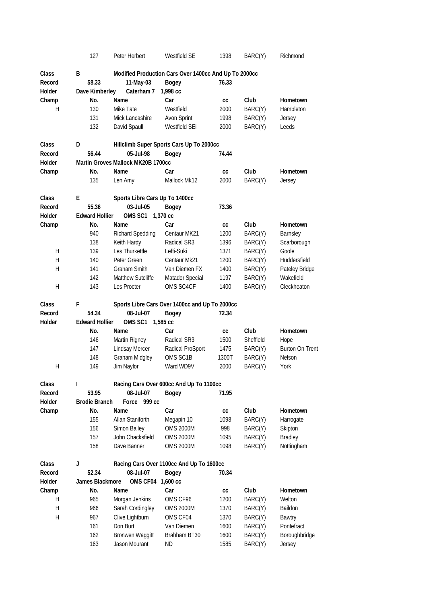|                  | 127                           | Peter Herbert                      | Westfield SE                                          | 1398         | BARC(Y)            | Richmond                     |
|------------------|-------------------------------|------------------------------------|-------------------------------------------------------|--------------|--------------------|------------------------------|
| Class            | B                             |                                    | Modified Production Cars Over 1400cc And Up To 2000cc |              |                    |                              |
| Record           | 58.33                         | 11-May-03                          | <b>Bogey</b>                                          | 76.33        |                    |                              |
| Holder           | Dave Kimberley                | Caterham 7                         | 1,998 cc                                              |              |                    |                              |
| Champ            | No.                           | Name                               | Car                                                   | СC           | Club               | Hometown                     |
| H                | 130                           | Mike Tate                          | Westfield                                             | 2000         | BARC(Y)            | Hambleton                    |
|                  | 131                           | Mick Lancashire                    |                                                       | 1998         |                    |                              |
|                  |                               |                                    | Avon Sprint                                           |              | BARC(Y)            | Jersey                       |
|                  | 132                           | David Spaull                       | Westfield SEi                                         | 2000         | BARC(Y)            | Leeds                        |
| Class            | D                             |                                    | Hillclimb Super Sports Cars Up To 2000cc              |              |                    |                              |
| Record           | 56.44                         | 05-Jul-98                          | <b>Bogey</b>                                          | 74.44        |                    |                              |
| Holder           |                               | Martin Groves Mallock MK20B 1700cc |                                                       |              |                    |                              |
| Champ            | No.                           | Name                               | Car                                                   | СC           | Club               | Hometown                     |
|                  | 135                           | Len Amy                            | Mallock Mk12                                          | 2000         | BARC(Y)            | Jersey                       |
| Class            | E                             | Sports Libre Cars Up To 1400cc     |                                                       |              |                    |                              |
| Record           | 55.36                         | 03-Jul-05                          | <b>Bogey</b>                                          | 73.36        |                    |                              |
| Holder           | <b>Edward Hollier</b>         | OMS SC1                            | 1,370 cc                                              |              |                    |                              |
| Champ            | No.                           | Name                               | Car                                                   | СC           | Club               | Hometown                     |
|                  | 940                           | <b>Richard Spedding</b>            | Centaur MK21                                          | 1200         | BARC(Y)            | Barnsley                     |
|                  | 138                           | Keith Hardy                        | Radical SR3                                           | 1396         | BARC(Y)            | Scarborough                  |
| H                | 139                           | Les Thurkettle                     | Lefti-Suki                                            | 1371         | BARC(Y)            | Goole                        |
| H                | 140                           | Peter Green                        | Centaur Mk21                                          | 1200         |                    | Huddersfield                 |
|                  |                               |                                    |                                                       |              | BARC(Y)            |                              |
| H                | 141                           | Graham Smith<br>Matthew Sutcliffe  | Van Diemen FX                                         | 1400         | BARC(Y)            | Pateley Bridge               |
|                  | 142                           |                                    | Matador Special                                       | 1197         | BARC(Y)            | Wakefield                    |
| H                | 143                           | Les Procter                        | OMS SC4CF                                             | 1400         | BARC(Y)            | Cleckheaton                  |
| Class            | F                             |                                    | Sports Libre Cars Over 1400cc and Up To 2000cc        |              |                    |                              |
|                  |                               |                                    |                                                       |              |                    |                              |
| Record           | 54.34                         | 08-Jul-07                          | <b>Bogey</b>                                          | 72.34        |                    |                              |
| Holder           | <b>Edward Hollier</b>         | OMS <sub>SC1</sub>                 | 1,585 cc                                              |              |                    |                              |
|                  | No.                           | Name                               | Car                                                   | СC           | Club               | Hometown                     |
|                  | 146                           | Martin Rigney                      | Radical SR3                                           | 1500         | Sheffield          | Hope                         |
|                  | 147                           | <b>Lindsay Mercer</b>              | Radical ProSport                                      | 1475         | BARC(Y)            | <b>Burton On Trent</b>       |
|                  | 148                           | Graham Midgley                     | OMS SC1B                                              | 1300T        | BARC(Y)            | Nelson                       |
| H                | 149                           | Jim Naylor                         | Ward WD9V                                             | 2000         | BARC(Y)            | York                         |
|                  |                               |                                    |                                                       |              |                    |                              |
| Class            | $\mathbf{I}$                  |                                    | Racing Cars Over 600cc And Up To 1100cc               |              |                    |                              |
| Record<br>Holder | 53.95<br><b>Brodie Branch</b> | 08-Jul-07<br>Force 999 cc          | <b>Bogey</b>                                          | 71.95        |                    |                              |
|                  | No.                           | Name                               | Car                                                   | cc           | Club               | <b>Hometown</b>              |
| Champ            |                               |                                    |                                                       |              |                    |                              |
|                  | 155                           | Allan Staniforth                   | Megapin 10                                            | 1098         | BARC(Y)            | Harrogate                    |
|                  | 156                           | Simon Bailey                       | <b>OMS 2000M</b>                                      | 998          | BARC(Y)            | Skipton                      |
|                  | 157<br>158                    | John Chacksfield<br>Dave Banner    | <b>OMS 2000M</b><br><b>OMS 2000M</b>                  | 1095<br>1098 | BARC(Y)<br>BARC(Y) | <b>Bradley</b><br>Nottingham |
|                  |                               |                                    |                                                       |              |                    |                              |
| <b>Class</b>     | J                             |                                    | Racing Cars Over 1100cc And Up To 1600cc              |              |                    |                              |
| Record           | 52.34                         | 08-Jul-07                          | <b>Bogey</b>                                          | 70.34        |                    |                              |
| Holder           | James Blackmore               | OMS CF04                           | $1,600$ cc                                            |              |                    |                              |
| Champ            | No.                           | Name                               | Car                                                   | cc           | Club               | Hometown                     |
| H                | 965                           | Morgan Jenkins                     | OMS CF96                                              | 1200         | BARC(Y)            | Welton                       |
| H                | 966                           | Sarah Cordingley                   | <b>OMS 2000M</b>                                      | 1370         | BARC(Y)            | Baildon                      |
| Н                | 967                           | Clive Lightburn                    | OMS CF04                                              | 1370         | BARC(Y)            | Bawtry                       |
|                  | 161                           | Don Burt                           | Van Diemen                                            | 1600         | BARC(Y)            | Pontefract                   |
|                  | 162<br>163                    | Bronwen Waggitt<br>Jason Mourant   | Brabham BT30<br>ND                                    | 1600<br>1585 | BARC(Y)<br>BARC(Y) | Boroughbridge<br>Jersey      |